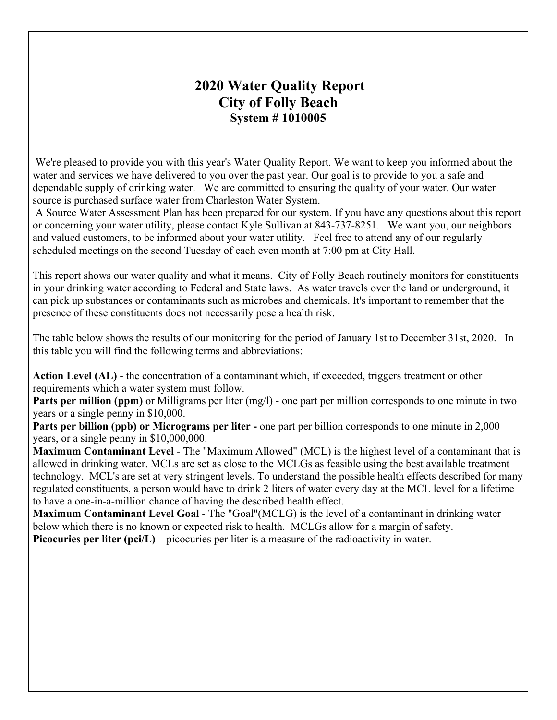# **2020 Water Quality Report City of Folly Beach System # 1010005**

We're pleased to provide you with this year's Water Quality Report. We want to keep you informed about the water and services we have delivered to you over the past year. Our goal is to provide to you a safe and dependable supply of drinking water. We are committed to ensuring the quality of your water. Our water source is purchased surface water from Charleston Water System.

A Source Water Assessment Plan has been prepared for our system. If you have any questions about this report or concerning your water utility, please contact Kyle Sullivan at 843-737-8251. We want you, our neighbors and valued customers, to be informed about your water utility. Feel free to attend any of our regularly scheduled meetings on the second Tuesday of each even month at 7:00 pm at City Hall.

This report shows our water quality and what it means. City of Folly Beach routinely monitors for constituents in your drinking water according to Federal and State laws. As water travels over the land or underground, it can pick up substances or contaminants such as microbes and chemicals. It's important to remember that the presence of these constituents does not necessarily pose a health risk.

The table below shows the results of our monitoring for the period of January 1st to December 31st, 2020. In this table you will find the following terms and abbreviations:

**Action Level (AL)** - the concentration of a contaminant which, if exceeded, triggers treatment or other requirements which a water system must follow.

**Parts per million (ppm)** or Milligrams per liter (mg/l) - one part per million corresponds to one minute in two years or a single penny in \$10,000.

**Parts per billion (ppb) or Micrograms per liter -** one part per billion corresponds to one minute in 2,000 years, or a single penny in \$10,000,000.

**Maximum Contaminant Level** - The "Maximum Allowed" (MCL) is the highest level of a contaminant that is allowed in drinking water. MCLs are set as close to the MCLGs as feasible using the best available treatment technology. MCL's are set at very stringent levels. To understand the possible health effects described for many regulated constituents, a person would have to drink 2 liters of water every day at the MCL level for a lifetime to have a one-in-a-million chance of having the described health effect.

**Maximum Contaminant Level Goal** - The "Goal"(MCLG) is the level of a contaminant in drinking water below which there is no known or expected risk to health. MCLGs allow for a margin of safety. **Picocuries per liter (pci/L)** – picocuries per liter is a measure of the radioactivity in water.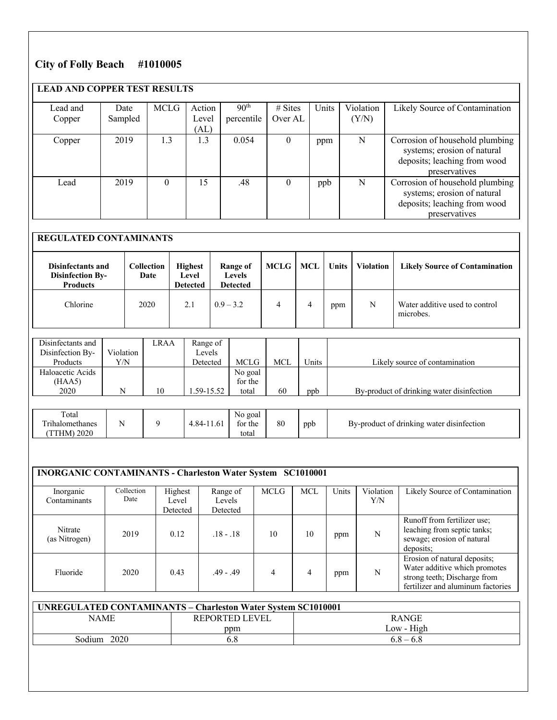### **City of Folly Beach #1010005**

## **LEAD AND COPPER TEST RESULTS**

| Lead and | Date    | <b>MCLG</b> | Action | 90 <sup>th</sup> | $# \n  Stes$ | Units | Violation | Likely Source of Contamination                                                                                  |
|----------|---------|-------------|--------|------------------|--------------|-------|-----------|-----------------------------------------------------------------------------------------------------------------|
| Copper   | Sampled |             | Level  | percentile       | Over AL      |       | (Y/N)     |                                                                                                                 |
|          |         |             | (AL)   |                  |              |       |           |                                                                                                                 |
| Copper   | 2019    | 1.3         | 1.3    | 0.054            | $\theta$     | ppm   | N         | Corrosion of household plumbing<br>systems; erosion of natural<br>deposits; leaching from wood<br>preservatives |
| Lead     | 2019    | $\theta$    | 15     | .48              | 0            | ppb   | N         | Corrosion of household plumbing<br>systems; erosion of natural<br>deposits; leaching from wood<br>preservatives |

### **REGULATED CONTAMINANTS**

| <b>Disinfectants and</b><br><b>Disinfection By-</b><br><b>Products</b> | <b>Collection</b><br>Date | <b>Highest</b><br>Level<br><b>Detected</b> | Range of<br><b>Levels</b><br><b>Detected</b> | <b>MCLG</b> | MCL | <b>Units</b> | <b>Violation</b> | <b>Likely Source of Contamination</b>       |
|------------------------------------------------------------------------|---------------------------|--------------------------------------------|----------------------------------------------|-------------|-----|--------------|------------------|---------------------------------------------|
| Chlorine                                                               | 2020                      | 2.1                                        | $0.9 - 3.2$                                  | 4           | 4   | ppm          | N                | Water additive used to control<br>microbes. |

| Disinfectants and |           | LRAA | Range of      |                |     |       |                                           |
|-------------------|-----------|------|---------------|----------------|-----|-------|-------------------------------------------|
| Disinfection By-  | Violation |      | Levels        |                |     |       |                                           |
| Products          | Y/N       |      | Detected      | <b>MCLG</b>    | MCL | Units | Likely source of contamination            |
| Haloacetic Acids  |           |      |               | No goal        |     |       |                                           |
| (HAA5)            |           |      |               | for the        |     |       |                                           |
| 2020              | N         | 10   | $.59 - 15.52$ | total          | 60  | ppb   | By-product of drinking water disinfection |
|                   |           |      |               |                |     |       |                                           |
| $T \leftarrow 1$  |           |      |               | $\mathbf{M}$ 1 |     |       |                                           |

| Total<br>No goal<br>80<br>$\cdots$<br>O <sub>A</sub><br>ppb<br>for the<br>drinking water disinfection<br>mh.<br>Iomethanes<br>By-product of<br>2020<br>total<br>IM. |  |
|---------------------------------------------------------------------------------------------------------------------------------------------------------------------|--|
|---------------------------------------------------------------------------------------------------------------------------------------------------------------------|--|

## **INORGANIC CONTAMINANTS - Charleston Water System SC1010001**

| Inorganic                | Collection | Highest  | Range of    | MCLG | MCL | Units | Violation | Likely Source of Contamination                                                                                                     |
|--------------------------|------------|----------|-------------|------|-----|-------|-----------|------------------------------------------------------------------------------------------------------------------------------------|
| Contaminants             | Date       | Level    | Levels      |      |     |       | Y/N       |                                                                                                                                    |
|                          |            | Detected | Detected    |      |     |       |           |                                                                                                                                    |
| Nitrate<br>(as Nitrogen) | 2019       | 0.12     | $.18 - .18$ | 10   | 10  | ppm   | N         | Runoff from fertilizer use;<br>leaching from septic tanks;<br>sewage; erosion of natural<br>deposits:                              |
| Fluoride                 | 2020       | 0.43     | $.49 - .49$ |      | 4   | ppm   | N         | Erosion of natural deposits;<br>Water additive which promotes<br>strong teeth; Discharge from<br>fertilizer and aluminum factories |

| <b>UNREGULATED CONTAMINANTS - Charleston Water System SC1010001</b> |                       |              |  |  |  |  |  |  |
|---------------------------------------------------------------------|-----------------------|--------------|--|--|--|--|--|--|
| NAME                                                                | <b>REPORTED LEVEL</b> | <b>RANGE</b> |  |  |  |  |  |  |
|                                                                     | ppm                   | Low - High   |  |  |  |  |  |  |
| Sodium<br>2020                                                      | 6.8                   | $6.8 - 6.8$  |  |  |  |  |  |  |